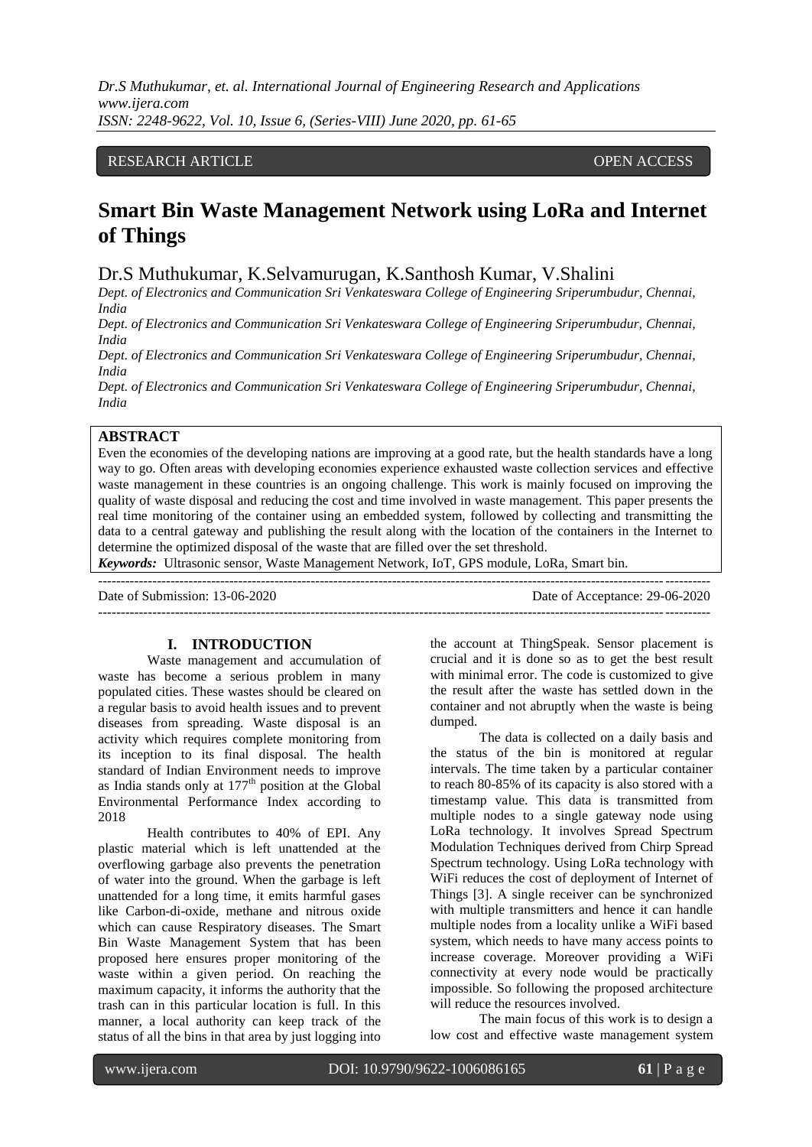*Dr.S Muthukumar, et. al. International Journal of Engineering Research and Applications www.ijera.com ISSN: 2248-9622, Vol. 10, Issue 6, (Series-VIII) June 2020, pp. 61-65*

# RESEARCH ARTICLE **CONSERVERS** OPEN ACCESS

# **Smart Bin Waste Management Network using LoRa and Internet of Things**

Dr.S Muthukumar, K.Selvamurugan, K.Santhosh Kumar, V.Shalini

*Dept. of Electronics and Communication Sri Venkateswara College of Engineering Sriperumbudur, Chennai, India*

*Dept. of Electronics and Communication Sri Venkateswara College of Engineering Sriperumbudur, Chennai, India*

*Dept. of Electronics and Communication Sri Venkateswara College of Engineering Sriperumbudur, Chennai, India* 

*Dept. of Electronics and Communication Sri Venkateswara College of Engineering Sriperumbudur, Chennai, India* 

#### **ABSTRACT**

Even the economies of the developing nations are improving at a good rate, but the health standards have a long way to go. Often areas with developing economies experience exhausted waste collection services and effective waste management in these countries is an ongoing challenge. This work is mainly focused on improving the quality of waste disposal and reducing the cost and time involved in waste management. This paper presents the real time monitoring of the container using an embedded system, followed by collecting and transmitting the data to a central gateway and publishing the result along with the location of the containers in the Internet to determine the optimized disposal of the waste that are filled over the set threshold.

*Keywords:* Ultrasonic sensor, Waste Management Network, IoT, GPS module, LoRa, Smart bin.

| Date of Submission: 13-06-2020 | Date of Acceptance: 29-06-2020 |
|--------------------------------|--------------------------------|
|                                |                                |

#### **I. INTRODUCTION**

Waste management and accumulation of waste has become a serious problem in many populated cities. These wastes should be cleared on a regular basis to avoid health issues and to prevent diseases from spreading. Waste disposal is an activity which requires complete monitoring from its inception to its final disposal. The health standard of Indian Environment needs to improve as India stands only at  $177<sup>th</sup>$  position at the Global Environmental Performance Index according to 2018

Health contributes to 40% of EPI. Any plastic material which is left unattended at the overflowing garbage also prevents the penetration of water into the ground. When the garbage is left unattended for a long time, it emits harmful gases like Carbon-di-oxide, methane and nitrous oxide which can cause Respiratory diseases. The Smart Bin Waste Management System that has been proposed here ensures proper monitoring of the waste within a given period. On reaching the maximum capacity, it informs the authority that the trash can in this particular location is full. In this manner, a local authority can keep track of the status of all the bins in that area by just logging into

the account at ThingSpeak. Sensor placement is crucial and it is done so as to get the best result with minimal error. The code is customized to give the result after the waste has settled down in the container and not abruptly when the waste is being dumped.

The data is collected on a daily basis and the status of the bin is monitored at regular intervals. The time taken by a particular container to reach 80-85% of its capacity is also stored with a timestamp value. This data is transmitted from multiple nodes to a single gateway node using LoRa technology. It involves Spread Spectrum Modulation Techniques derived from Chirp Spread Spectrum technology. Using LoRa technology with WiFi reduces the cost of deployment of Internet of Things [3]. A single receiver can be synchronized with multiple transmitters and hence it can handle multiple nodes from a locality unlike a WiFi based system, which needs to have many access points to increase coverage. Moreover providing a WiFi connectivity at every node would be practically impossible. So following the proposed architecture will reduce the resources involved.

The main focus of this work is to design a low cost and effective waste management system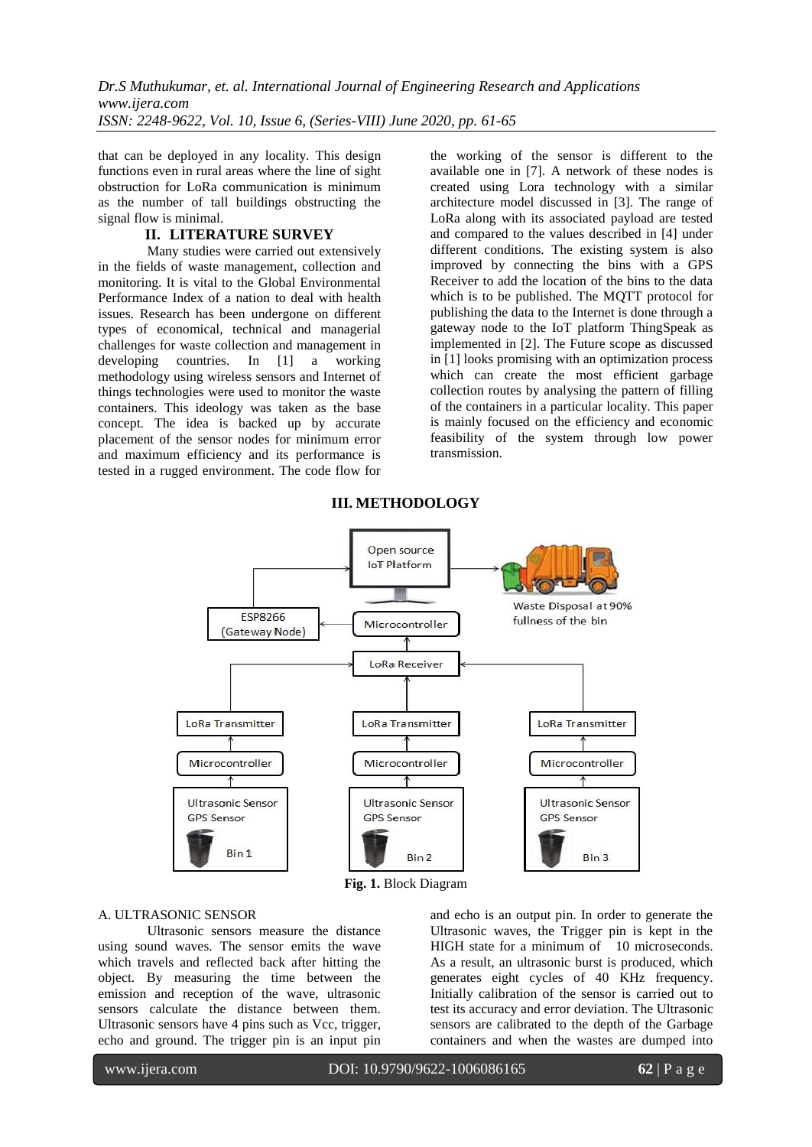that can be deployed in any locality. This design functions even in rural areas where the line of sight obstruction for LoRa communication is minimum as the number of tall buildings obstructing the signal flow is minimal.

# **II. LITERATURE SURVEY**

Many studies were carried out extensively in the fields of waste management, collection and monitoring. It is vital to the Global Environmental Performance Index of a nation to deal with health issues. Research has been undergone on different types of economical, technical and managerial challenges for waste collection and management in developing countries. In [1] a working methodology using wireless sensors and Internet of things technologies were used to monitor the waste containers. This ideology was taken as the base concept. The idea is backed up by accurate placement of the sensor nodes for minimum error and maximum efficiency and its performance is tested in a rugged environment. The code flow for

the working of the sensor is different to the available one in [7]. A network of these nodes is created using Lora technology with a similar architecture model discussed in [3]. The range of LoRa along with its associated payload are tested and compared to the values described in [4] under different conditions. The existing system is also improved by connecting the bins with a GPS Receiver to add the location of the bins to the data which is to be published. The MQTT protocol for publishing the data to the Internet is done through a gateway node to the IoT platform ThingSpeak as implemented in [2]. The Future scope as discussed in [1] looks promising with an optimization process which can create the most efficient garbage collection routes by analysing the pattern of filling of the containers in a particular locality. This paper is mainly focused on the efficiency and economic feasibility of the system through low power transmission.



# **III. METHODOLOGY**

**Fig. 1.** Block Diagram

# A. ULTRASONIC SENSOR

Ultrasonic sensors measure the distance using sound waves. The sensor emits the wave which travels and reflected back after hitting the object. By measuring the time between the emission and reception of the wave, ultrasonic sensors calculate the distance between them. Ultrasonic sensors have 4 pins such as Vcc, trigger, echo and ground. The trigger pin is an input pin

and echo is an output pin. In order to generate the Ultrasonic waves, the Trigger pin is kept in the HIGH state for a minimum of 10 microseconds. As a result, an ultrasonic burst is produced, which generates eight cycles of 40 KHz frequency. Initially calibration of the sensor is carried out to test its accuracy and error deviation. The Ultrasonic sensors are calibrated to the depth of the Garbage containers and when the wastes are dumped into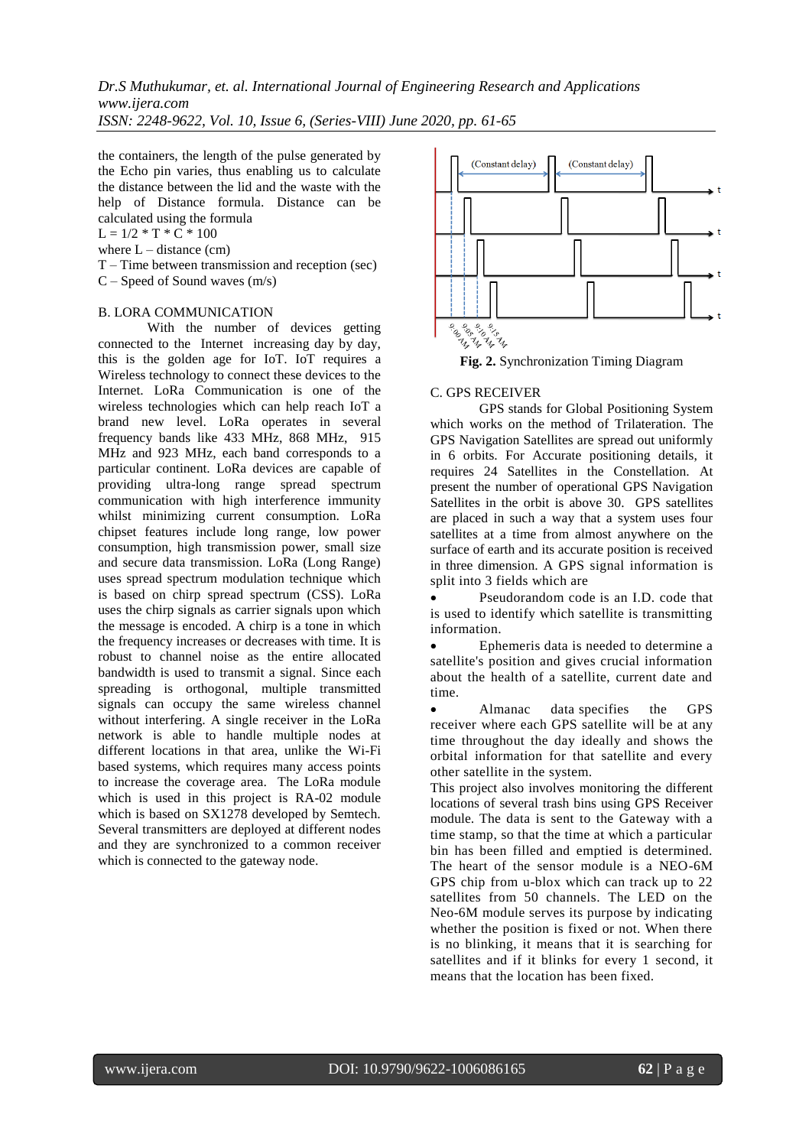*Dr.S Muthukumar, et. al. International Journal of Engineering Research and Applications www.ijera.com*

*ISSN: 2248-9622, Vol. 10, Issue 6, (Series-VIII) June 2020, pp. 61-65*

the containers, the length of the pulse generated by the Echo pin varies, thus enabling us to calculate the distance between the lid and the waste with the help of Distance formula. Distance can be calculated using the formula

 $L = 1/2 * T * C * 100$ 

where  $L -$  distance  $(cm)$ 

T – Time between transmission and reception (sec) C – Speed of Sound waves (m/s)

#### B. LORA COMMUNICATION

With the number of devices getting connected to the Internet increasing day by day, this is the golden age for IoT. IoT requires a Wireless technology to connect these devices to the Internet. LoRa Communication is one of the wireless technologies which can help reach IoT a brand new level. LoRa operates in several frequency bands like 433 MHz, 868 MHz, 915 MHz and 923 MHz, each band corresponds to a particular continent. LoRa devices are capable of providing ultra-long range spread spectrum communication with high interference immunity whilst minimizing current consumption. LoRa chipset features include long range, low power consumption, high transmission power, small size and secure data transmission. LoRa (Long Range) uses spread spectrum modulation technique which is based on chirp spread spectrum (CSS). LoRa uses the chirp signals as carrier signals upon which the message is encoded. A chirp is a tone in which the frequency increases or decreases with time. It is robust to channel noise as the entire allocated bandwidth is used to transmit a signal. Since each spreading is orthogonal, multiple transmitted signals can occupy the same wireless channel without interfering. A single receiver in the LoRa network is able to handle multiple nodes at different locations in that area, unlike the Wi-Fi based systems, which requires many access points to increase the coverage area. The LoRa module which is used in this project is RA-02 module which is based on SX1278 developed by Semtech. Several transmitters are deployed at different nodes and they are synchronized to a common receiver which is connected to the gateway node.



**Fig. 2.** Synchronization Timing Diagram

#### C. GPS RECEIVER

GPS stands for Global Positioning System which works on the method of Trilateration. The GPS Navigation Satellites are spread out uniformly in 6 orbits. For Accurate positioning details, it requires 24 Satellites in the Constellation. At present the number of operational GPS Navigation Satellites in the orbit is above 30. GPS satellites are placed in such a way that a system uses four satellites at a time from almost anywhere on the surface of earth and its accurate position is received in three dimension. A GPS signal information is split into 3 fields which are

 Pseudorandom code is an I.D. code that is used to identify which satellite is transmitting information.

 Ephemeris data is needed to determine a satellite's position and gives crucial information about the health of a satellite, current date and time.

 Almanac data specifies the GPS receiver where each GPS satellite will be at any time throughout the day ideally and shows the orbital information for that satellite and every other satellite in the system.

This project also involves monitoring the different locations of several trash bins using GPS Receiver module. The data is sent to the Gateway with a time stamp, so that the time at which a particular bin has been filled and emptied is determined. The heart of the sensor module is a NEO-6M GPS chip from u-blox which can track up to 22 satellites from 50 channels. The LED on the Neo-6M module serves its purpose by indicating whether the position is fixed or not. When there is no blinking, it means that it is searching for satellites and if it blinks for every 1 second, it means that the location has been fixed.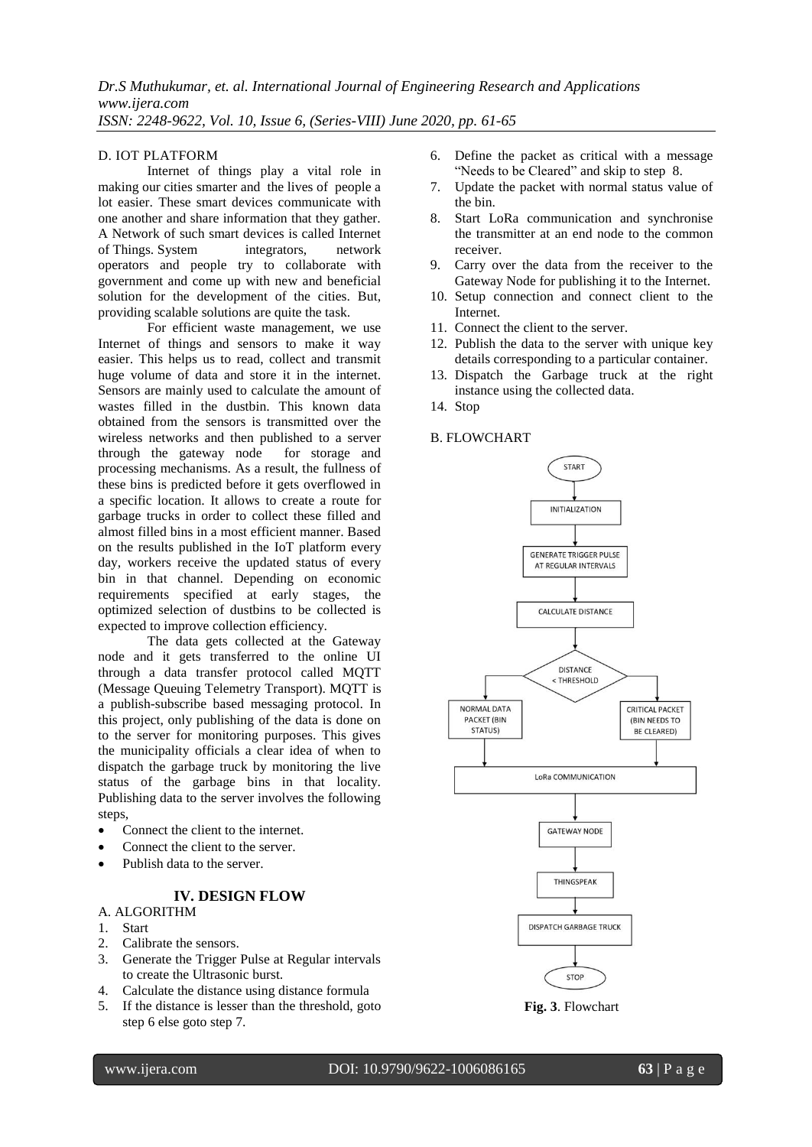## D. IOT PLATFORM

Internet of things play a vital role in making our cities smarter and the lives of people a lot easier. These smart devices communicate with one another and share information that they gather. A Network of such smart devices is called Internet of Things. System integrators, network operators and people try to collaborate with government and come up with new and beneficial solution for the development of the cities. But, providing scalable solutions are quite the task.

For efficient waste management, we use Internet of things and sensors to make it way easier. This helps us to read, collect and transmit huge volume of data and store it in the internet. Sensors are mainly used to calculate the amount of wastes filled in the dustbin. This known data obtained from the sensors is transmitted over the wireless networks and then published to a server through the gateway node for storage and processing mechanisms. As a result, the fullness of these bins is predicted before it gets overflowed in a specific location. It allows to create a route for garbage trucks in order to collect these filled and almost filled bins in a most efficient manner. Based on the results published in the IoT platform every day, workers receive the updated status of every bin in that channel. Depending on economic requirements specified at early stages, the optimized selection of dustbins to be collected is expected to improve collection efficiency.

The data gets collected at the Gateway node and it gets transferred to the online UI through a data transfer protocol called MQTT (Message Queuing Telemetry Transport). MQTT is a publish-subscribe based messaging protocol. In this project, only publishing of the data is done on to the server for monitoring purposes. This gives the municipality officials a clear idea of when to dispatch the garbage truck by monitoring the live status of the garbage bins in that locality. Publishing data to the server involves the following steps,

- Connect the client to the internet.
- Connect the client to the server.
- Publish data to the server.

# **IV. DESIGN FLOW**

#### A. ALGORITHM

- 1. Start
- 2. Calibrate the sensors.
- 3. Generate the Trigger Pulse at Regular intervals to create the Ultrasonic burst.
- 4. Calculate the distance using distance formula
- 5. If the distance is lesser than the threshold, goto step 6 else goto step 7.
- 6. Define the packet as critical with a message "Needs to be Cleared" and skip to step 8.
- 7. Update the packet with normal status value of the bin.
- 8. Start LoRa communication and synchronise the transmitter at an end node to the common receiver.
- 9. Carry over the data from the receiver to the Gateway Node for publishing it to the Internet.
- 10. Setup connection and connect client to the Internet.
- 11. Connect the client to the server.
- 12. Publish the data to the server with unique key details corresponding to a particular container.
- 13. Dispatch the Garbage truck at the right instance using the collected data.
- 14. Stop

# B. FLOWCHART



**Fig. 3**. Flowchart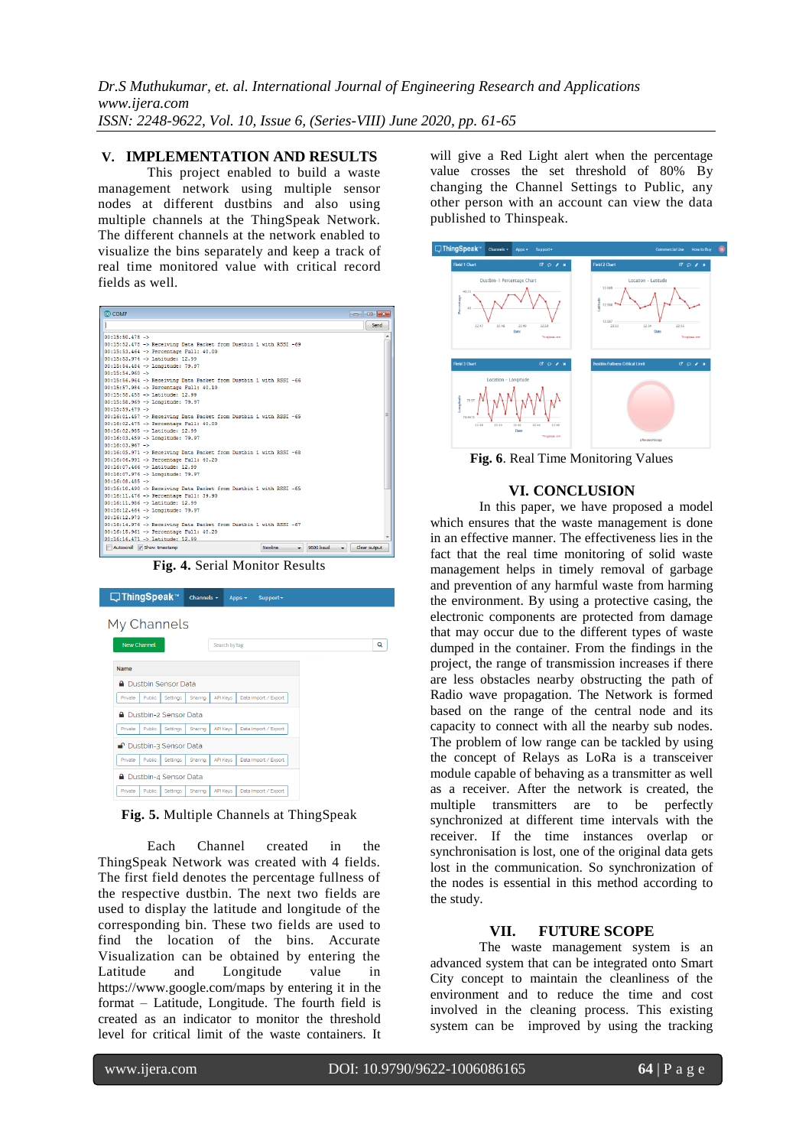*Dr.S Muthukumar, et. al. International Journal of Engineering Research and Applications www.ijera.com ISSN: 2248-9622, Vol. 10, Issue 6, (Series-VIII) June 2020, pp. 61-65*

### **V. IMPLEMENTATION AND RESULTS**

This project enabled to build a waste management network using multiple sensor nodes at different dustbins and also using multiple channels at the ThingSpeak Network. The different channels at the network enabled to visualize the bins separately and keep a track of real time monitored value with critical record fields as well.

| CO COM7                                                                                      |              |
|----------------------------------------------------------------------------------------------|--------------|
|                                                                                              | Send         |
| $00:15:50.478 -$                                                                             | ۸            |
| 00:15:52.478 -> Receiving Data Packet from Dustbin 1 with RSSI -69                           |              |
| 00:15:53.464 -> Percentage Full: 40.00                                                       |              |
| 00:15:53.974 -> Latitude: 12.99                                                              |              |
| 00:15:54.484 -> Longitude: 79.97                                                             |              |
| $00:15:54.960 ->$                                                                            |              |
| 00:15:56.964 -> Receiving Data Packet from Dustbin 1 with RSSI -66                           |              |
| 00:15:57.984 -> Percentage Full: 40.10                                                       |              |
| 00:15:58.458 -> Latitude: 12.99                                                              |              |
| 00:15:58.969 -> Longitude: 79.97                                                             |              |
| $00:15:59.479 - y$                                                                           |              |
| 00:16:01.457 -> Receiving Data Packet from Dustbin 1 with RSSI -65                           | ×            |
| 00:16:02.475 -> Percentage Full: 40.00                                                       |              |
| 00:16:02.985 -> Latitude: 12.99                                                              |              |
| 00:16:03.459 -> Longitude: 79.97                                                             |              |
| $00:16:03.967 -$                                                                             |              |
| 00:16:05.971 -> Receiving Data Packet from Dustbin 1 with RSSI -68                           |              |
| 00:16:06.991 -> Percentage Full: 40.20                                                       |              |
| $00:16:07.466$ -> Latitude: 12.99                                                            |              |
| 00:16:07.976 -> Longitude: 79.97                                                             |              |
| $00:16:08.485 -$                                                                             |              |
| 00:16:10.490 -> Receiving Data Packet from Dustbin 1 with RSSI -65                           |              |
| 00:16:11.476 -> Percentage Full: 39.90                                                       |              |
| 00:16:11.986 -> Latitude: 12.99                                                              |              |
| 00:16:12.464 -> Longitude: 79.97                                                             |              |
| $00:16:12.973 - y$                                                                           |              |
| 00:16:14.976 -> Receiving Data Packet from Dustbin 1 with RSSI -67                           |              |
| 00:16:15.961 -> Percentage Full: 40.20                                                       |              |
| $00:16:16.471$ -> Latitude: 12.99                                                            |              |
| 9600 baud<br>Autoscroll V Show timestamp<br><b>Newlne</b><br>. .<br>$\overline{\phantom{0}}$ | Clear output |

**Fig. 4.** Serial Monitor Results

| □ ThingSpeak™                   | Channels $\sim$<br>Support -<br>Apps $\sim$        |   |
|---------------------------------|----------------------------------------------------|---|
| My Channels                     |                                                    |   |
|                                 |                                                    |   |
| New Channel                     | Search by tag                                      | Q |
| Name                            |                                                    |   |
| <b>Dustbin Sensor Data</b><br>А |                                                    |   |
| Public<br>Settings<br>Private   | <b>API Keys</b><br>Data Import / Export<br>Sharing |   |
| Dustbin-2 Sensor Data<br>≏      |                                                    |   |
| Private<br>Public<br>Settings   | Data Import / Export<br><b>API Keys</b><br>Sharing |   |
| ■ Dustbin-3 Sensor Data         |                                                    |   |
| Private<br>Public<br>Settinas   | <b>API Kevs</b><br>Data Import / Export<br>Sharing |   |
| Dustbin-4 Sensor Data<br>А      |                                                    |   |
| Private<br>Public<br>Settings   | <b>API Kevs</b><br>Data Import / Export<br>Sharing |   |

**Fig. 5.** Multiple Channels at ThingSpeak

Each Channel created in the ThingSpeak Network was created with 4 fields. The first field denotes the percentage fullness of the respective dustbin. The next two fields are used to display the latitude and longitude of the corresponding bin. These two fields are used to find the location of the bins. Accurate Visualization can be obtained by entering the Latitude and Longitude value in <https://www.google.com/maps> by entering it in the format – Latitude, Longitude. The fourth field is created as an indicator to monitor the threshold level for critical limit of the waste containers. It will give a Red Light alert when the percentage value crosses the set threshold of 80% By changing the Channel Settings to Public, any other person with an account can view the data published to Thinspeak.



**Fig. 6**. Real Time Monitoring Values

## **VI. CONCLUSION**

In this paper, we have proposed a model which ensures that the waste management is done in an effective manner. The effectiveness lies in the fact that the real time monitoring of solid waste management helps in timely removal of garbage and prevention of any harmful waste from harming the environment. By using a protective casing, the electronic components are protected from damage that may occur due to the different types of waste dumped in the container. From the findings in the project, the range of transmission increases if there are less obstacles nearby obstructing the path of Radio wave propagation. The Network is formed based on the range of the central node and its capacity to connect with all the nearby sub nodes. The problem of low range can be tackled by using the concept of Relays as LoRa is a transceiver module capable of behaving as a transmitter as well as a receiver. After the network is created, the multiple transmitters are to be perfectly synchronized at different time intervals with the receiver. If the time instances overlap or synchronisation is lost, one of the original data gets lost in the communication. So synchronization of the nodes is essential in this method according to the study.

## **VII. FUTURE SCOPE**

The waste management system is an advanced system that can be integrated onto Smart City concept to maintain the cleanliness of the environment and to reduce the time and cost involved in the cleaning process. This existing system can be improved by using the tracking